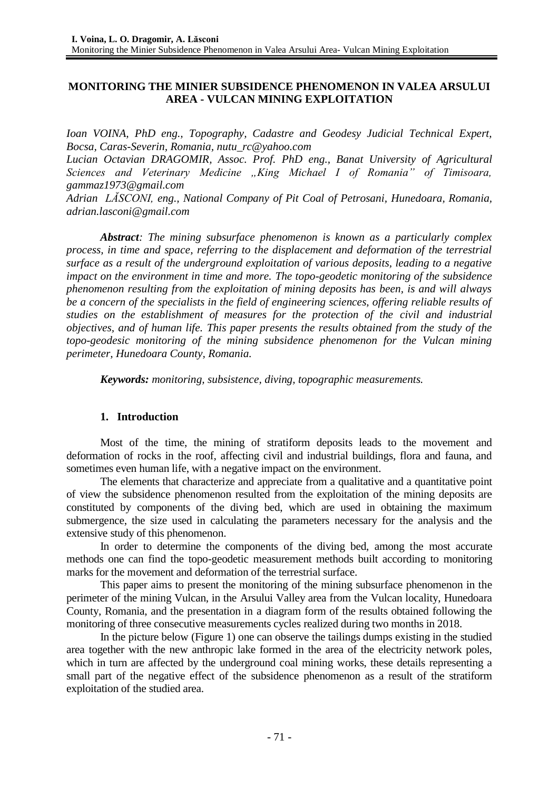# **MONITORING THE MINIER SUBSIDENCE PHENOMENON IN VALEA ARSULUI AREA - VULCAN MINING EXPLOITATION**

*Ioan VOINA, PhD eng., Topography, Cadastre and Geodesy Judicial Technical Expert, Bocsa, Caras-Severin, Romania, [nutu\\_rc@yahoo.com](mailto:nutu_rc@yahoo.com)*

*Lucian Octavian DRAGOMIR, Assoc. Prof. PhD eng., Banat University of Agricultural Sciences and Veterinary Medicine "King Michael I of Romania" of Timisoara, gammaz1973@gmail.com*

*Adrian LĂSCONI, eng., National Company of Pit Coal of Petrosani, Hunedoara, Romania, [adrian.lasconi@gmail.com](mailto:adrian.lasconi@gmail.com)*

*Abstract: The mining subsurface phenomenon is known as a particularly complex process, in time and space, referring to the displacement and deformation of the terrestrial surface as a result of the underground exploitation of various deposits, leading to a negative impact on the environment in time and more. The topo-geodetic monitoring of the subsidence phenomenon resulting from the exploitation of mining deposits has been, is and will always be a concern of the specialists in the field of engineering sciences, offering reliable results of studies on the establishment of measures for the protection of the civil and industrial objectives, and of human life. This paper presents the results obtained from the study of the topo-geodesic monitoring of the mining subsidence phenomenon for the Vulcan mining perimeter, Hunedoara County, Romania.*

*Keywords: monitoring, subsistence, diving, topographic measurements.*

### **1. Introduction**

Most of the time, the mining of stratiform deposits leads to the movement and deformation of rocks in the roof, affecting civil and industrial buildings, flora and fauna, and sometimes even human life, with a negative impact on the environment.

The elements that characterize and appreciate from a qualitative and a quantitative point of view the subsidence phenomenon resulted from the exploitation of the mining deposits are constituted by components of the diving bed, which are used in obtaining the maximum submergence, the size used in calculating the parameters necessary for the analysis and the extensive study of this phenomenon.

In order to determine the components of the diving bed, among the most accurate methods one can find the topo-geodetic measurement methods built according to monitoring marks for the movement and deformation of the terrestrial surface.

This paper aims to present the monitoring of the mining subsurface phenomenon in the perimeter of the mining Vulcan, in the Arsului Valley area from the Vulcan locality, Hunedoara County, Romania, and the presentation in a diagram form of the results obtained following the monitoring of three consecutive measurements cycles realized during two months in 2018.

In the picture below (Figure 1) one can observe the tailings dumps existing in the studied area together with the new anthropic lake formed in the area of the electricity network poles, which in turn are affected by the underground coal mining works, these details representing a small part of the negative effect of the subsidence phenomenon as a result of the stratiform exploitation of the studied area.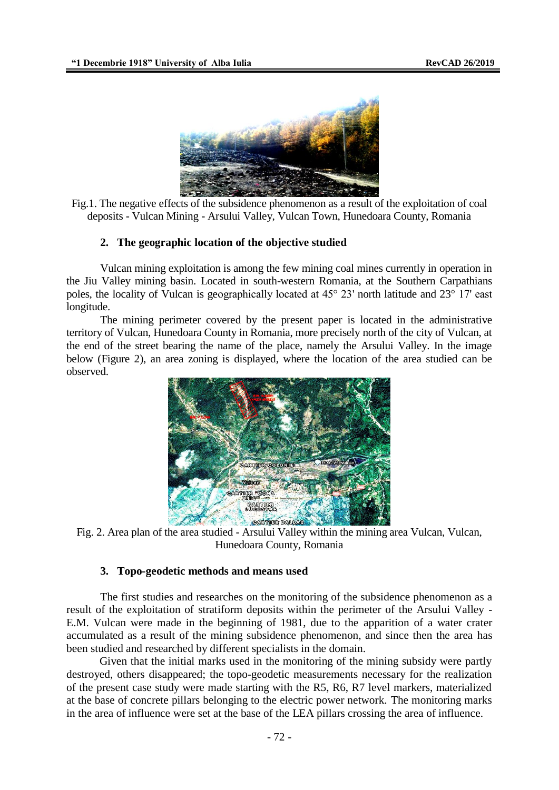

Fig.1. The negative effects of the subsidence phenomenon as a result of the exploitation of coal deposits - Vulcan Mining - Arsului Valley, Vulcan Town, Hunedoara County, Romania

#### **2. The geographic location of the objective studied**

Vulcan mining exploitation is among the few mining coal mines currently in operation in the Jiu Valley mining basin. Located in south-western Romania, at the Southern Carpathians poles, the locality of Vulcan is geographically located at 45° 23' north latitude and 23° 17' east longitude.

The mining perimeter covered by the present paper is located in the administrative territory of Vulcan, Hunedoara County in Romania, more precisely north of the city of Vulcan, at the end of the street bearing the name of the place, namely the Arsului Valley. In the image below (Figure 2), an area zoning is displayed, where the location of the area studied can be observed.



Fig. 2. Area plan of the area studied - Arsului Valley within the mining area Vulcan, Vulcan, Hunedoara County, Romania

### **3. Topo-geodetic methods and means used**

The first studies and researches on the monitoring of the subsidence phenomenon as a result of the exploitation of stratiform deposits within the perimeter of the Arsului Valley - E.M. Vulcan were made in the beginning of 1981, due to the apparition of a water crater accumulated as a result of the mining subsidence phenomenon, and since then the area has been studied and researched by different specialists in the domain.

Given that the initial marks used in the monitoring of the mining subsidy were partly destroyed, others disappeared; the topo-geodetic measurements necessary for the realization of the present case study were made starting with the R5, R6, R7 level markers, materialized at the base of concrete pillars belonging to the electric power network. The monitoring marks in the area of influence were set at the base of the LEA pillars crossing the area of influence.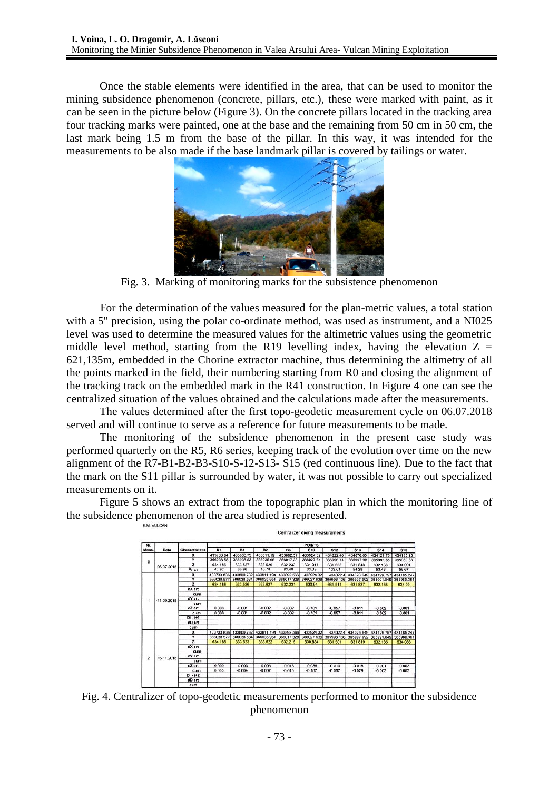Once the stable elements were identified in the area, that can be used to monitor the mining subsidence phenomenon (concrete, pillars, etc.), these were marked with paint, as it can be seen in the picture below (Figure 3). On the concrete pillars located in the tracking area four tracking marks were painted, one at the base and the remaining from 50 cm in 50 cm, the last mark being 1.5 m from the base of the pillar. In this way, it was intended for the measurements to be also made if the base landmark pillar is covered by tailings or water.



Fig. 3. Marking of monitoring marks for the subsistence phenomenon

For the determination of the values measured for the plan-metric values, a total station with a 5" precision, using the polar co-ordinate method, was used as instrument, and a NI025 level was used to determine the measured values for the altimetric values using the geometric middle level method, starting from the R19 levelling index, having the elevation  $Z =$ 621,135m, embedded in the Chorine extractor machine, thus determining the altimetry of all the points marked in the field, their numbering starting from R0 and closing the alignment of the tracking track on the embedded mark in the R41 construction. In Figure 4 one can see the centralized situation of the values obtained and the calculations made after the measurements.

The values determined after the first topo-geodetic measurement cycle on 06.07.2018 served and will continue to serve as a reference for future measurements to be made.

The monitoring of the subsidence phenomenon in the present case study was performed quarterly on the R5, R6 series, keeping track of the evolution over time on the new alignment of the R7-B1-B2-B3-S10-S-12-S13- S15 (red continuous line). Due to the fact that the mark on the S11 pillar is surrounded by water, it was not possible to carry out specialized measurements on it.

Figure 5 shows an extract from the topographic plan in which the monitoring line of the subsidence phenomenon of the area studied is represented.



Fig. 4. Centralizer of topo-geodetic measurements performed to monitor the subsidence phenomenon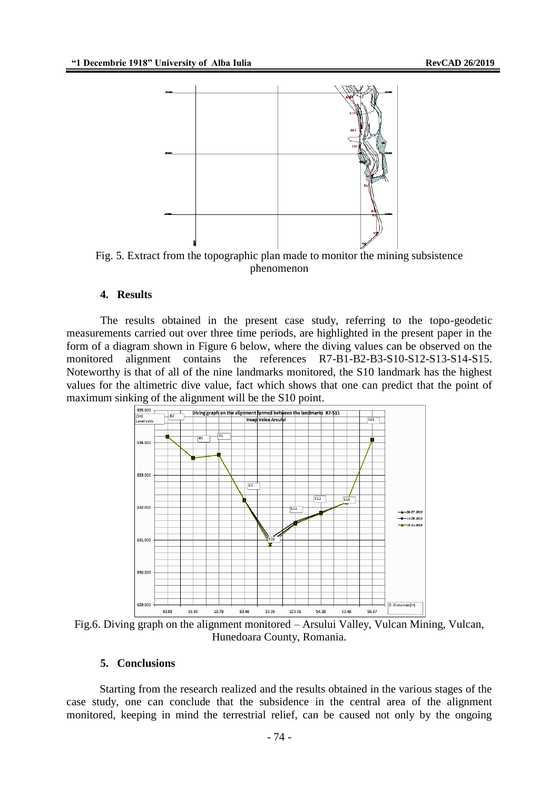

Fig. 5. Extract from the topographic plan made to monitor the mining subsistence phenomenon

# **4. Results**

The results obtained in the present case study, referring to the topo-geodetic measurements carried out over three time periods, are highlighted in the present paper in the form of a diagram shown in Figure 6 below, where the diving values can be observed on the monitored alignment contains the references R7-B1-B2-B3-S10-S12-S13-S14-S15. Noteworthy is that of all of the nine landmarks monitored, the S10 landmark has the highest values for the altimetric dive value, fact which shows that one can predict that the point of maximum sinking of the alignment will be the S10 point.



Fig.6. Diving graph on the alignment monitored – Arsului Valley, Vulcan Mining, Vulcan, Hunedoara County, Romania.

#### **5. Conclusions**

Starting from the research realized and the results obtained in the various stages of the case study, one can conclude that the subsidence in the central area of the alignment monitored, keeping in mind the terrestrial relief, can be caused not only by the ongoing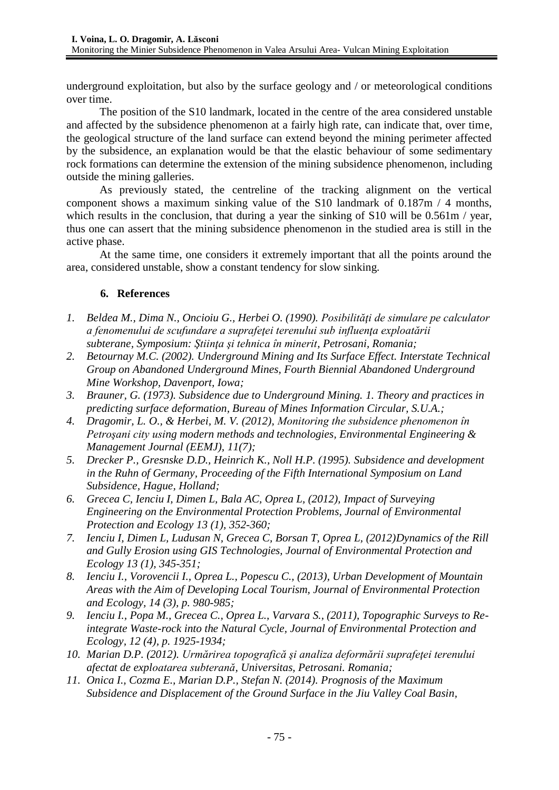underground exploitation, but also by the surface geology and / or meteorological conditions over time.

The position of the S10 landmark, located in the centre of the area considered unstable and affected by the subsidence phenomenon at a fairly high rate, can indicate that, over time, the geological structure of the land surface can extend beyond the mining perimeter affected by the subsidence, an explanation would be that the elastic behaviour of some sedimentary rock formations can determine the extension of the mining subsidence phenomenon, including outside the mining galleries.

As previously stated, the centreline of the tracking alignment on the vertical component shows a maximum sinking value of the S10 landmark of  $0.187m / 4$  months, which results in the conclusion, that during a year the sinking of S10 will be 0.561m / year, thus one can assert that the mining subsidence phenomenon in the studied area is still in the active phase.

At the same time, one considers it extremely important that all the points around the area, considered unstable, show a constant tendency for slow sinking.

# **6. References**

- 1. Beldea M., Dima N., Oncioiu G., Herbei O. (1990). Posibilități de simulare pe calculator *a fenomenului de scufundare a suprafeţei terenului sub influenţa exploatării subterane, Symposium: Ştiinţa şi tehnica în minerit, Petrosani, Romania;*
- *2. Betournay M.C. (2002). Underground Mining and Its Surface Effect. Interstate Technical Group on Abandoned Underground Mines, Fourth Biennial Abandoned Underground Mine Workshop, Davenport, Iowa;*
- *3. Brauner, G. (1973). Subsidence due to Underground Mining. 1. Theory and practices in predicting surface deformation, Bureau of Mines Information Circular, S.U.A.;*
- *4. Dragomir, L. O., & Herbei, M. V. (2012), Monitoring the subsidence phenomenon în Petroşani city using modern methods and technologies, Environmental Engineering & Management Journal (EEMJ), 11(7);*
- *5. Drecker P., Gresnske D.D., Heinrich K., Noll H.P. (1995). Subsidence and development in the Ruhn of Germany, Proceeding of the Fifth International Symposium on Land Subsidence, Hague, Holland;*
- *6. Grecea C, Ienciu I, Dimen L, Bala AC, Oprea L, (2012), [Impact of Surveying](http://scholar.google.com/scholar?cluster=8995741649762110030&hl=en&oi=scholarr)  [Engineering on the Environmental Protection Problems,](http://scholar.google.com/scholar?cluster=8995741649762110030&hl=en&oi=scholarr) Journal of Environmental Protection and Ecology 13 (1), 352-360;*
- *7. Ienciu I, Dimen L, Ludusan N, Grecea C, Borsan T, Oprea L, (2012)Dynamics of the Rill and Gully Erosion using GIS Technologies, Journal of Environmental Protection and Ecology 13 (1), 345-351;*
- *8. Ienciu I., Vorovencii I., Oprea L., Popescu C., (2013), Urban Development of Mountain Areas with the Aim of Developing Local Tourism, Journal of Environmental Protection and Ecology, 14 (3), p. 980-985;*
- *9. Ienciu I., Popa M., Grecea C., Oprea L., Varvara S., (2011), Topographic Surveys to Reintegrate Waste-rock into the Natural Cycle, Journal of Environmental Protection and Ecology, 12 (4), p. 1925-1934;*
- *10. Marian D.P. (2012). Urmărirea topografică şi analiza deformării suprafeţei terenului afectat de exploatarea subterană, Universitas, Petrosani. Romania;*
- *11. Onica I., Cozma E., Marian D.P., Stefan N. (2014). Prognosis of the Maximum Subsidence and Displacement of the Ground Surface in the Jiu Valley Coal Basin,*